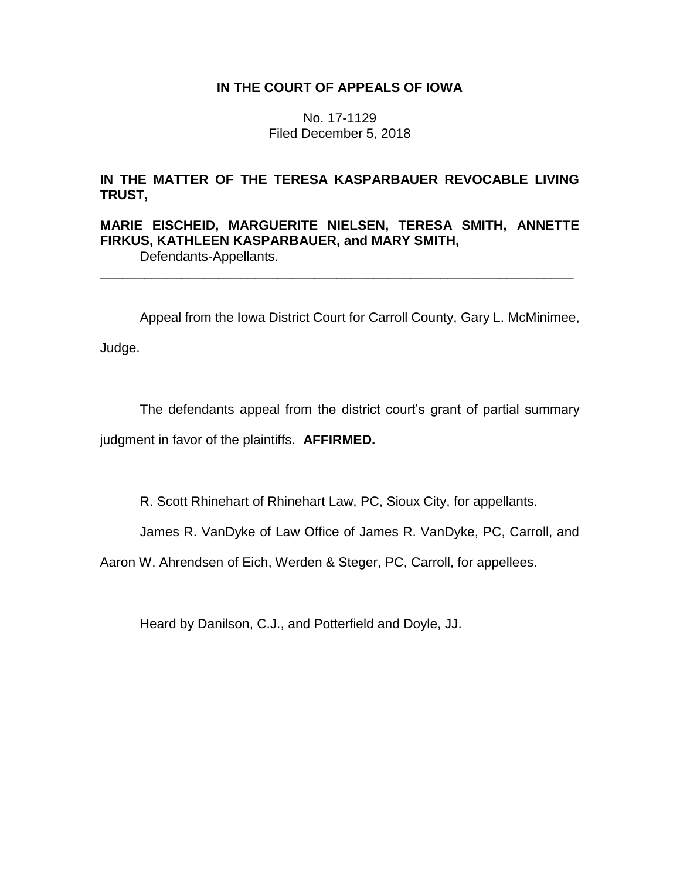# **IN THE COURT OF APPEALS OF IOWA**

No. 17-1129 Filed December 5, 2018

# **IN THE MATTER OF THE TERESA KASPARBAUER REVOCABLE LIVING TRUST,**

# **MARIE EISCHEID, MARGUERITE NIELSEN, TERESA SMITH, ANNETTE FIRKUS, KATHLEEN KASPARBAUER, and MARY SMITH,**

\_\_\_\_\_\_\_\_\_\_\_\_\_\_\_\_\_\_\_\_\_\_\_\_\_\_\_\_\_\_\_\_\_\_\_\_\_\_\_\_\_\_\_\_\_\_\_\_\_\_\_\_\_\_\_\_\_\_\_\_\_\_\_\_

Defendants-Appellants.

Appeal from the Iowa District Court for Carroll County, Gary L. McMinimee,

Judge.

The defendants appeal from the district court's grant of partial summary judgment in favor of the plaintiffs. **AFFIRMED.**

R. Scott Rhinehart of Rhinehart Law, PC, Sioux City, for appellants.

James R. VanDyke of Law Office of James R. VanDyke, PC, Carroll, and

Aaron W. Ahrendsen of Eich, Werden & Steger, PC, Carroll, for appellees.

Heard by Danilson, C.J., and Potterfield and Doyle, JJ.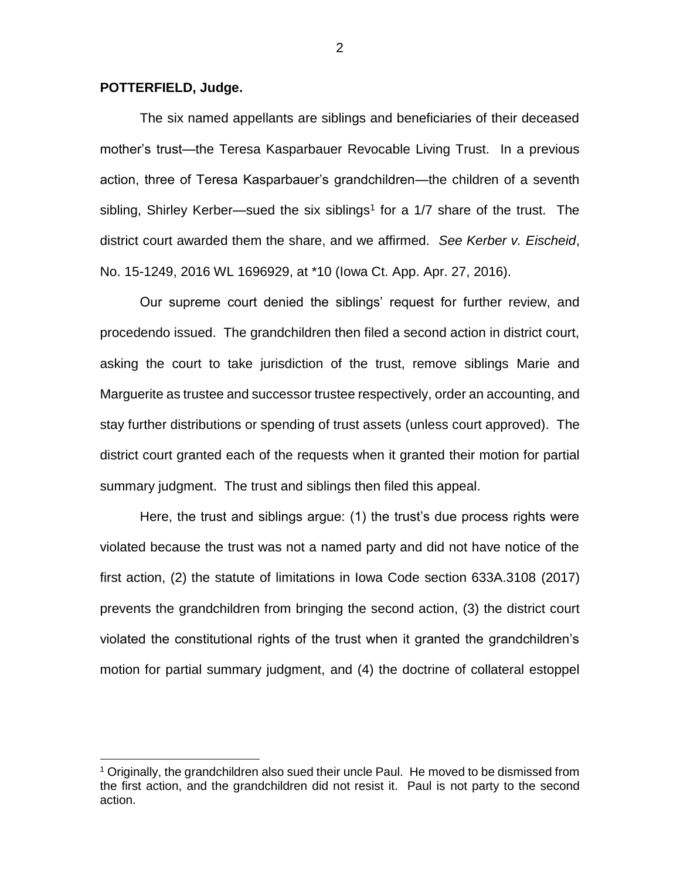### **POTTERFIELD, Judge.**

 $\overline{a}$ 

The six named appellants are siblings and beneficiaries of their deceased mother's trust—the Teresa Kasparbauer Revocable Living Trust. In a previous action, three of Teresa Kasparbauer's grandchildren—the children of a seventh sibling, Shirley Kerber—sued the six siblings<sup>1</sup> for a  $1/7$  share of the trust. The district court awarded them the share, and we affirmed. *See Kerber v. Eischeid*, No. 15-1249, 2016 WL 1696929, at \*10 (Iowa Ct. App. Apr. 27, 2016).

Our supreme court denied the siblings' request for further review, and procedendo issued. The grandchildren then filed a second action in district court, asking the court to take jurisdiction of the trust, remove siblings Marie and Marguerite as trustee and successor trustee respectively, order an accounting, and stay further distributions or spending of trust assets (unless court approved). The district court granted each of the requests when it granted their motion for partial summary judgment. The trust and siblings then filed this appeal.

Here, the trust and siblings argue: (1) the trust's due process rights were violated because the trust was not a named party and did not have notice of the first action, (2) the statute of limitations in Iowa Code section 633A.3108 (2017) prevents the grandchildren from bringing the second action, (3) the district court violated the constitutional rights of the trust when it granted the grandchildren's motion for partial summary judgment, and (4) the doctrine of collateral estoppel

 $1$  Originally, the grandchildren also sued their uncle Paul. He moved to be dismissed from the first action, and the grandchildren did not resist it. Paul is not party to the second action.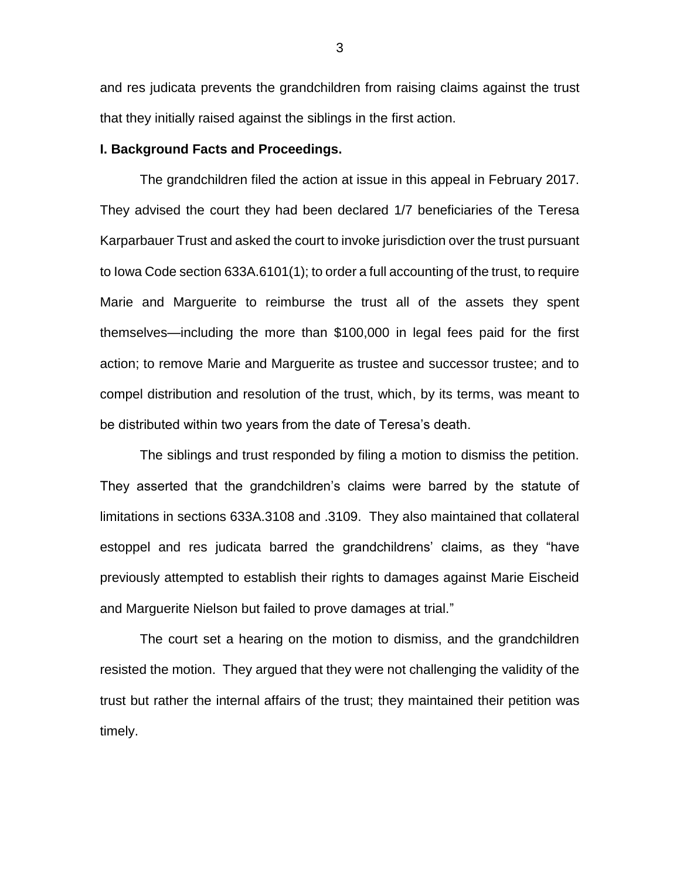and res judicata prevents the grandchildren from raising claims against the trust that they initially raised against the siblings in the first action.

#### **I. Background Facts and Proceedings.**

The grandchildren filed the action at issue in this appeal in February 2017. They advised the court they had been declared 1/7 beneficiaries of the Teresa Karparbauer Trust and asked the court to invoke jurisdiction over the trust pursuant to Iowa Code section 633A.6101(1); to order a full accounting of the trust, to require Marie and Marguerite to reimburse the trust all of the assets they spent themselves—including the more than \$100,000 in legal fees paid for the first action; to remove Marie and Marguerite as trustee and successor trustee; and to compel distribution and resolution of the trust, which, by its terms, was meant to be distributed within two years from the date of Teresa's death.

The siblings and trust responded by filing a motion to dismiss the petition. They asserted that the grandchildren's claims were barred by the statute of limitations in sections 633A.3108 and .3109. They also maintained that collateral estoppel and res judicata barred the grandchildrens' claims, as they "have previously attempted to establish their rights to damages against Marie Eischeid and Marguerite Nielson but failed to prove damages at trial."

The court set a hearing on the motion to dismiss, and the grandchildren resisted the motion. They argued that they were not challenging the validity of the trust but rather the internal affairs of the trust; they maintained their petition was timely.

3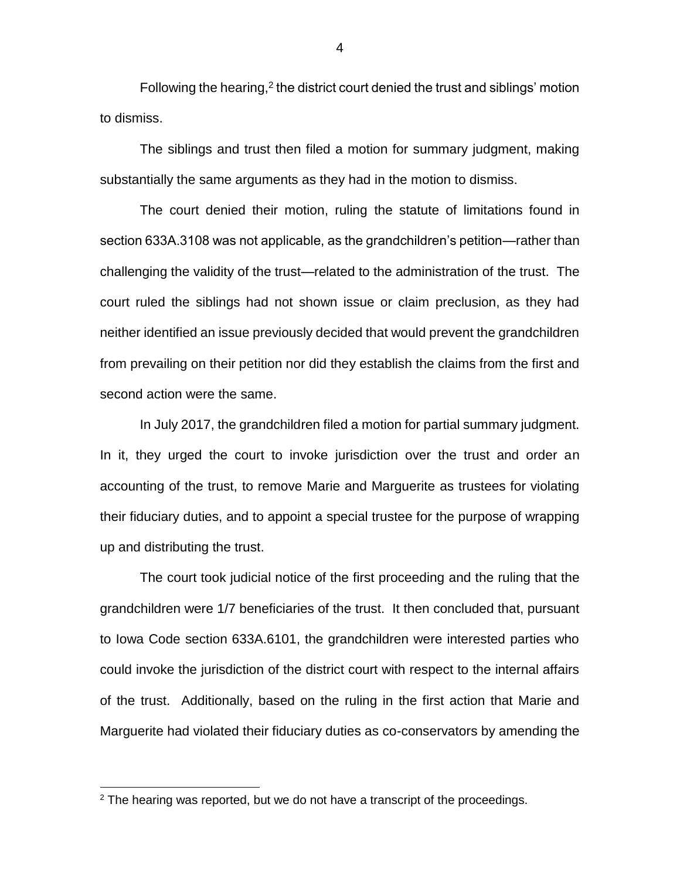Following the hearing, $2$  the district court denied the trust and siblings' motion to dismiss.

The siblings and trust then filed a motion for summary judgment, making substantially the same arguments as they had in the motion to dismiss.

The court denied their motion, ruling the statute of limitations found in section 633A.3108 was not applicable, as the grandchildren's petition—rather than challenging the validity of the trust—related to the administration of the trust. The court ruled the siblings had not shown issue or claim preclusion, as they had neither identified an issue previously decided that would prevent the grandchildren from prevailing on their petition nor did they establish the claims from the first and second action were the same.

In July 2017, the grandchildren filed a motion for partial summary judgment. In it, they urged the court to invoke jurisdiction over the trust and order an accounting of the trust, to remove Marie and Marguerite as trustees for violating their fiduciary duties, and to appoint a special trustee for the purpose of wrapping up and distributing the trust.

The court took judicial notice of the first proceeding and the ruling that the grandchildren were 1/7 beneficiaries of the trust. It then concluded that, pursuant to Iowa Code section 633A.6101, the grandchildren were interested parties who could invoke the jurisdiction of the district court with respect to the internal affairs of the trust. Additionally, based on the ruling in the first action that Marie and Marguerite had violated their fiduciary duties as co-conservators by amending the

 $\overline{a}$ 

4

 $2$  The hearing was reported, but we do not have a transcript of the proceedings.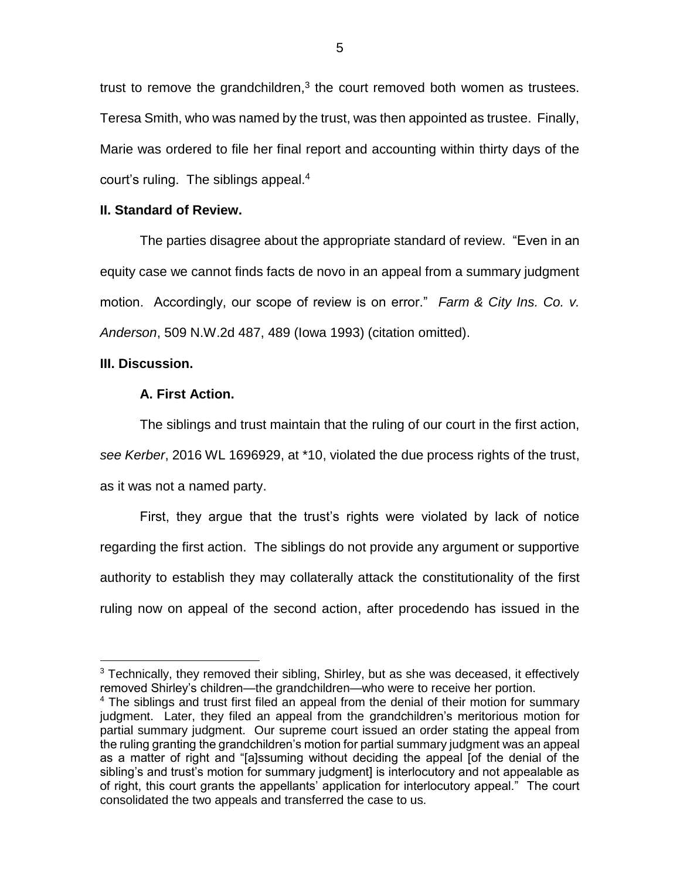trust to remove the grandchildren, $3$  the court removed both women as trustees. Teresa Smith, who was named by the trust, was then appointed as trustee. Finally, Marie was ordered to file her final report and accounting within thirty days of the court's ruling. The siblings appeal. 4

### **II. Standard of Review.**

The parties disagree about the appropriate standard of review. "Even in an equity case we cannot finds facts de novo in an appeal from a summary judgment motion. Accordingly, our scope of review is on error." *Farm & City Ins. Co. v. Anderson*, 509 N.W.2d 487, 489 (Iowa 1993) (citation omitted).

### **III. Discussion.**

 $\overline{a}$ 

### **A. First Action.**

The siblings and trust maintain that the ruling of our court in the first action, *see Kerber*, 2016 WL 1696929, at \*10, violated the due process rights of the trust, as it was not a named party.

First, they argue that the trust's rights were violated by lack of notice regarding the first action. The siblings do not provide any argument or supportive authority to establish they may collaterally attack the constitutionality of the first ruling now on appeal of the second action, after procedendo has issued in the

<sup>&</sup>lt;sup>3</sup> Technically, they removed their sibling, Shirley, but as she was deceased, it effectively removed Shirley's children—the grandchildren—who were to receive her portion.

<sup>&</sup>lt;sup>4</sup> The siblings and trust first filed an appeal from the denial of their motion for summary judgment. Later, they filed an appeal from the grandchildren's meritorious motion for partial summary judgment. Our supreme court issued an order stating the appeal from the ruling granting the grandchildren's motion for partial summary judgment was an appeal as a matter of right and "[a]ssuming without deciding the appeal [of the denial of the sibling's and trust's motion for summary judgment] is interlocutory and not appealable as of right, this court grants the appellants' application for interlocutory appeal." The court consolidated the two appeals and transferred the case to us.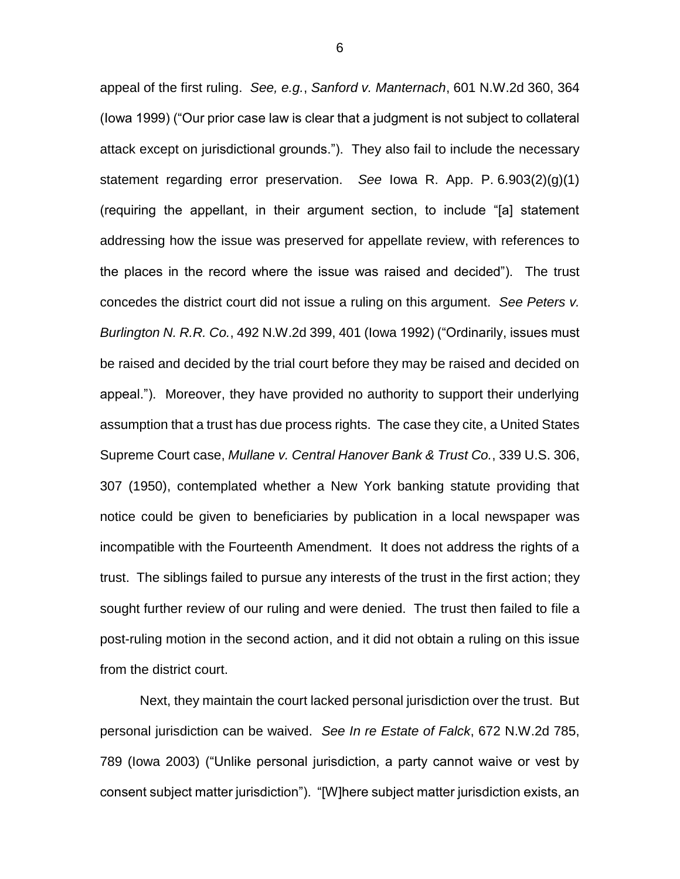appeal of the first ruling. *See, e.g.*, *Sanford v. Manternach*, 601 N.W.2d 360, 364 (Iowa 1999) ("Our prior case law is clear that a judgment is not subject to collateral attack except on jurisdictional grounds.").They also fail to include the necessary statement regarding error preservation. *See* Iowa R. App. P. 6.903(2)(g)(1) (requiring the appellant, in their argument section, to include "[a] statement addressing how the issue was preserved for appellate review, with references to the places in the record where the issue was raised and decided"). The trust concedes the district court did not issue a ruling on this argument. *See Peters v. Burlington N. R.R. Co.*, 492 N.W.2d 399, 401 (Iowa 1992) ("Ordinarily, issues must be raised and decided by the trial court before they may be raised and decided on appeal."). Moreover, they have provided no authority to support their underlying assumption that a trust has due process rights. The case they cite, a United States Supreme Court case, *Mullane v. Central Hanover Bank & Trust Co.*, 339 U.S. 306, 307 (1950), contemplated whether a New York banking statute providing that notice could be given to beneficiaries by publication in a local newspaper was incompatible with the Fourteenth Amendment. It does not address the rights of a trust. The siblings failed to pursue any interests of the trust in the first action; they sought further review of our ruling and were denied. The trust then failed to file a post-ruling motion in the second action, and it did not obtain a ruling on this issue from the district court.

Next, they maintain the court lacked personal jurisdiction over the trust. But personal jurisdiction can be waived. *See In re Estate of Falck*, 672 N.W.2d 785, 789 (Iowa 2003) ("Unlike personal jurisdiction, a party cannot waive or vest by consent subject matter jurisdiction"). "[W]here subject matter jurisdiction exists, an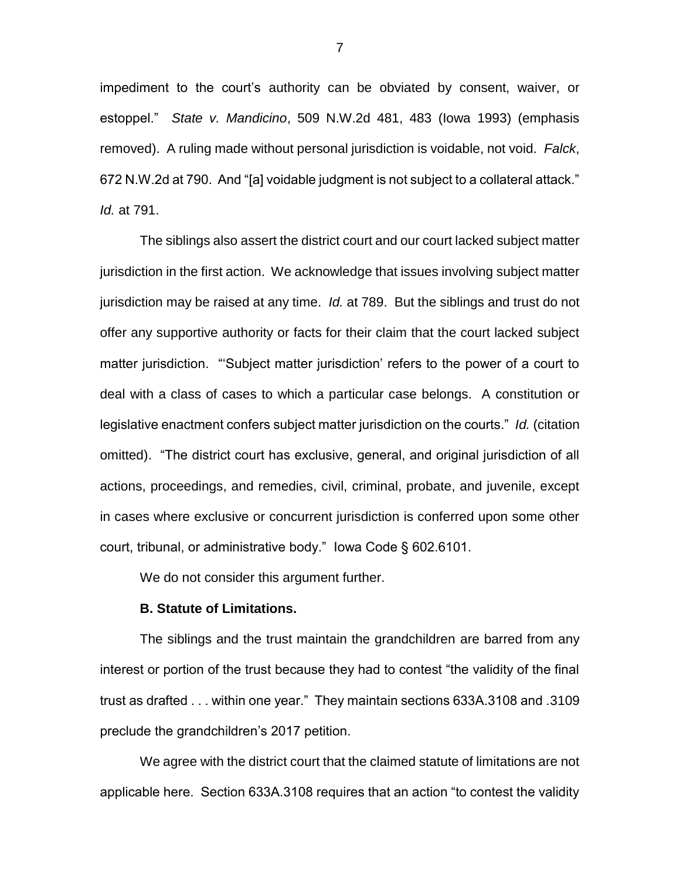impediment to the court's authority can be obviated by consent, waiver, or estoppel." *State v. Mandicino*, 509 N.W.2d 481, 483 (Iowa 1993) (emphasis removed). A ruling made without personal jurisdiction is voidable, not void. *Falck*, 672 N.W.2d at 790. And "[a] voidable judgment is not subject to a collateral attack." *Id.* at 791.

The siblings also assert the district court and our court lacked subject matter jurisdiction in the first action. We acknowledge that issues involving subject matter jurisdiction may be raised at any time. *Id.* at 789. But the siblings and trust do not offer any supportive authority or facts for their claim that the court lacked subject matter jurisdiction. "'Subject matter jurisdiction' refers to the power of a court to deal with a class of cases to which a particular case belongs. A constitution or legislative enactment confers subject matter jurisdiction on the courts." *Id.* (citation omitted)."The district court has exclusive, general, and original jurisdiction of all actions, proceedings, and remedies, civil, criminal, probate, and juvenile, except in cases where exclusive or concurrent jurisdiction is conferred upon some other court, tribunal, or administrative body." Iowa Code § 602.6101.

We do not consider this argument further.

#### **B. Statute of Limitations.**

The siblings and the trust maintain the grandchildren are barred from any interest or portion of the trust because they had to contest "the validity of the final trust as drafted . . . within one year." They maintain sections 633A.3108 and .3109 preclude the grandchildren's 2017 petition.

We agree with the district court that the claimed statute of limitations are not applicable here. Section 633A.3108 requires that an action "to contest the validity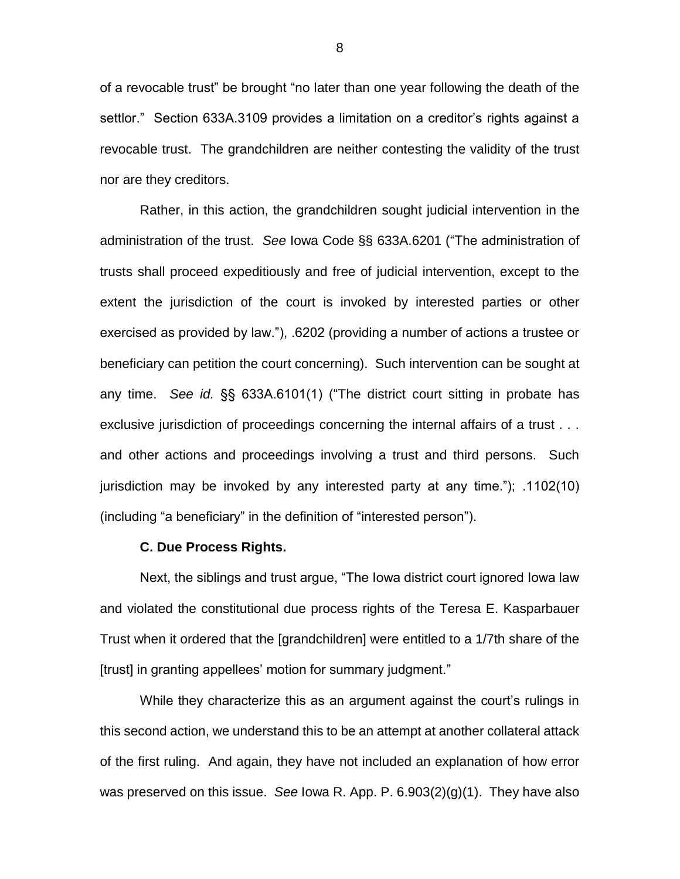of a revocable trust" be brought "no later than one year following the death of the settlor." Section 633A.3109 provides a limitation on a creditor's rights against a revocable trust. The grandchildren are neither contesting the validity of the trust nor are they creditors.

Rather, in this action, the grandchildren sought judicial intervention in the administration of the trust. *See* Iowa Code §§ 633A.6201 ("The administration of trusts shall proceed expeditiously and free of judicial intervention, except to the extent the jurisdiction of the court is invoked by interested parties or other exercised as provided by law."), .6202 (providing a number of actions a trustee or beneficiary can petition the court concerning). Such intervention can be sought at any time. *See id.* §§ 633A.6101(1) ("The district court sitting in probate has exclusive jurisdiction of proceedings concerning the internal affairs of a trust . . . and other actions and proceedings involving a trust and third persons. Such jurisdiction may be invoked by any interested party at any time."); .1102(10) (including "a beneficiary" in the definition of "interested person").

### **C. Due Process Rights.**

Next, the siblings and trust argue, "The Iowa district court ignored Iowa law and violated the constitutional due process rights of the Teresa E. Kasparbauer Trust when it ordered that the [grandchildren] were entitled to a 1/7th share of the [trust] in granting appellees' motion for summary judgment."

While they characterize this as an argument against the court's rulings in this second action, we understand this to be an attempt at another collateral attack of the first ruling. And again, they have not included an explanation of how error was preserved on this issue. *See* Iowa R. App. P. 6.903(2)(g)(1). They have also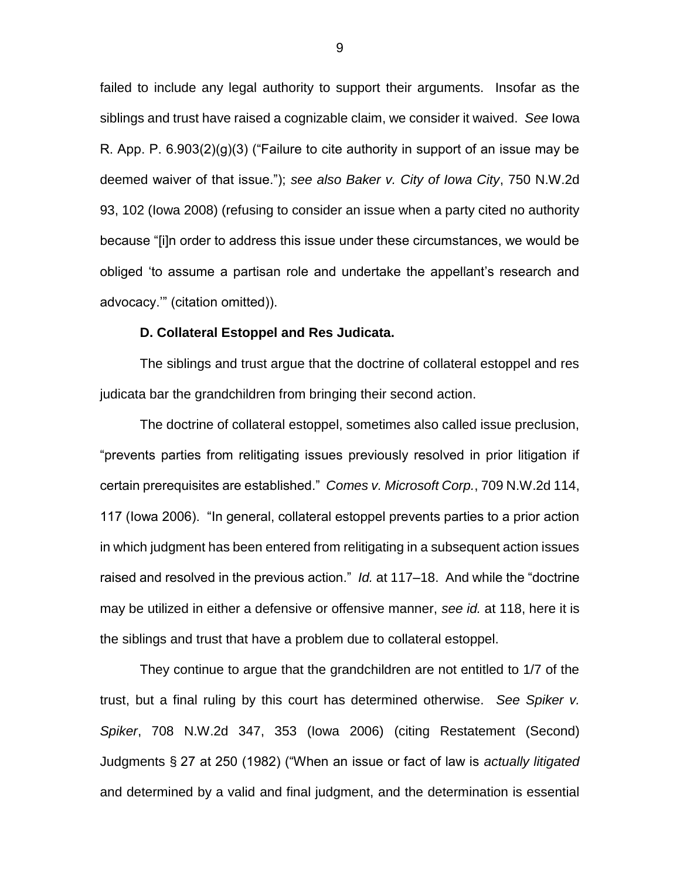failed to include any legal authority to support their arguments. Insofar as the siblings and trust have raised a cognizable claim, we consider it waived. *See* Iowa R. App. P.  $6.903(2)(g)(3)$  ("Failure to cite authority in support of an issue may be deemed waiver of that issue."); *see also Baker v. City of Iowa City*, 750 N.W.2d 93, 102 (Iowa 2008) (refusing to consider an issue when a party cited no authority because "[i]n order to address this issue under these circumstances, we would be obliged 'to assume a partisan role and undertake the appellant's research and advocacy.'" (citation omitted)).

#### **D. Collateral Estoppel and Res Judicata.**

The siblings and trust argue that the doctrine of collateral estoppel and res judicata bar the grandchildren from bringing their second action.

The doctrine of collateral estoppel, sometimes also called issue preclusion, "prevents parties from relitigating issues previously resolved in prior litigation if certain prerequisites are established." *Comes v. Microsoft Corp.*, 709 N.W.2d 114, 117 (Iowa 2006). "In general, collateral estoppel prevents parties to a prior action in which judgment has been entered from relitigating in a subsequent action issues raised and resolved in the previous action." *Id.* at 117–18. And while the "doctrine may be utilized in either a defensive or offensive manner, *see id.* at 118, here it is the siblings and trust that have a problem due to collateral estoppel.

They continue to argue that the grandchildren are not entitled to 1/7 of the trust, but a final ruling by this court has determined otherwise. *See Spiker v. Spiker*, 708 N.W.2d 347, 353 (Iowa 2006) (citing Restatement (Second) Judgments § 27 at 250 (1982) ("When an issue or fact of law is *actually litigated* and determined by a valid and final judgment, and the determination is essential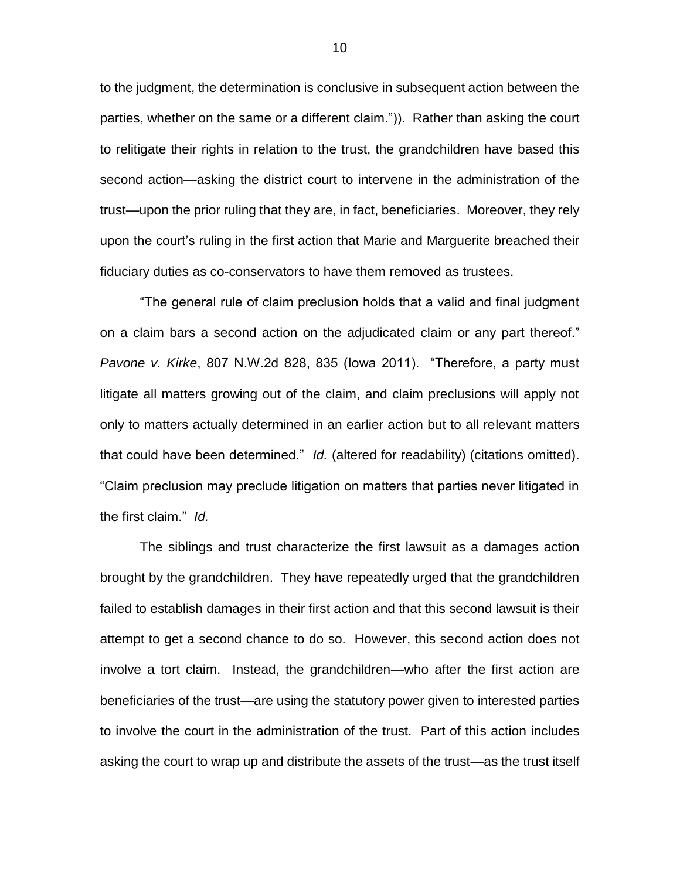to the judgment, the determination is conclusive in subsequent action between the parties, whether on the same or a different claim.")). Rather than asking the court to relitigate their rights in relation to the trust, the grandchildren have based this second action—asking the district court to intervene in the administration of the trust—upon the prior ruling that they are, in fact, beneficiaries. Moreover, they rely upon the court's ruling in the first action that Marie and Marguerite breached their fiduciary duties as co-conservators to have them removed as trustees.

"The general rule of claim preclusion holds that a valid and final judgment on a claim bars a second action on the adjudicated claim or any part thereof." *Pavone v. Kirke*, 807 N.W.2d 828, 835 (Iowa 2011). "Therefore, a party must litigate all matters growing out of the claim, and claim preclusions will apply not only to matters actually determined in an earlier action but to all relevant matters that could have been determined." *Id.* (altered for readability) (citations omitted). "Claim preclusion may preclude litigation on matters that parties never litigated in the first claim." *Id.*

The siblings and trust characterize the first lawsuit as a damages action brought by the grandchildren. They have repeatedly urged that the grandchildren failed to establish damages in their first action and that this second lawsuit is their attempt to get a second chance to do so. However, this second action does not involve a tort claim. Instead, the grandchildren—who after the first action are beneficiaries of the trust—are using the statutory power given to interested parties to involve the court in the administration of the trust. Part of this action includes asking the court to wrap up and distribute the assets of the trust—as the trust itself